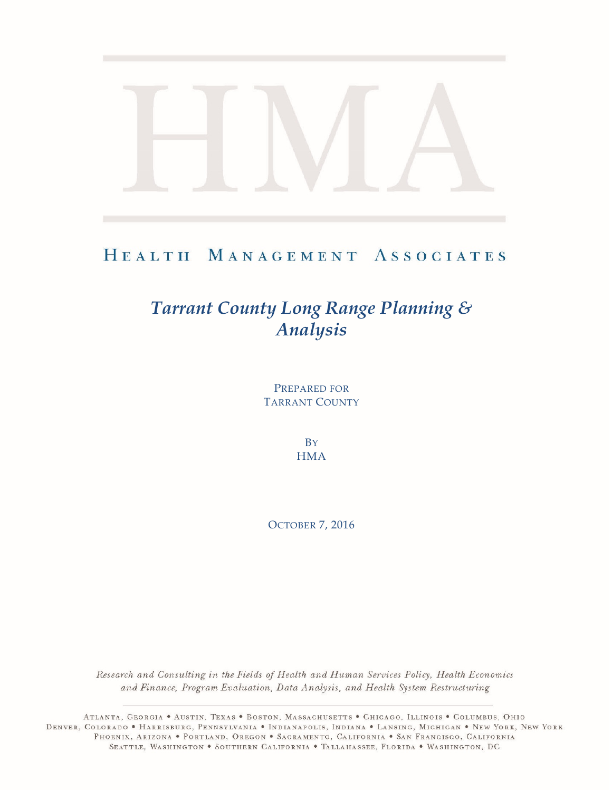# HEALTH MANAGEMENT ASSOCIATES

# *Tarrant County Long Range Planning & Analysis*

PREPARED FOR TARRANT COUNTY

> **B**Y **HMA**

OCTOBER 7, 2016

Research and Consulting in the Fields of Health and Human Services Policy, Health Economics and Finance, Program Evaluation, Data Analysis, and Health System Restructuring

ATLANTA, GEORGIA . AUSTIN, TEXAS . BOSTON, MASSACHUSETTS . CHICAGO, ILLINOIS . COLUMBUS, OHIO DENVER, COLORADO • HARRISBURG, PENNSYLVANIA • INDIANAPOLIS, INDIANA • LANSING, MICHIGAN • NEW YORK, NEW YORK PHOENIX, ARIZONA . PORTLAND, OREGON . SACRAMENTO, CALIFORNIA . SAN FRANCISCO, CALIFORNIA SEATTLE, WASHINGTON . SOUTHERN CALIFORNIA . TALLAHASSEE, FLORIDA . WASHINGTON, DC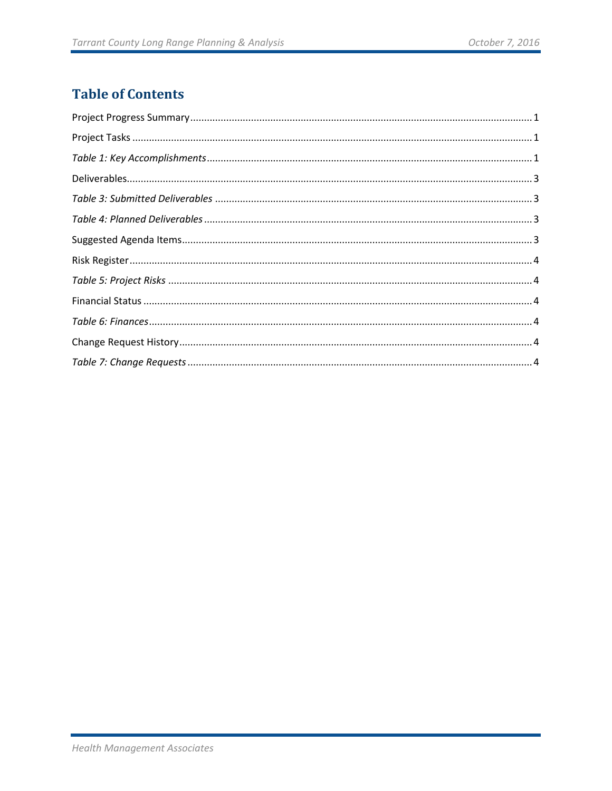# **Table of Contents**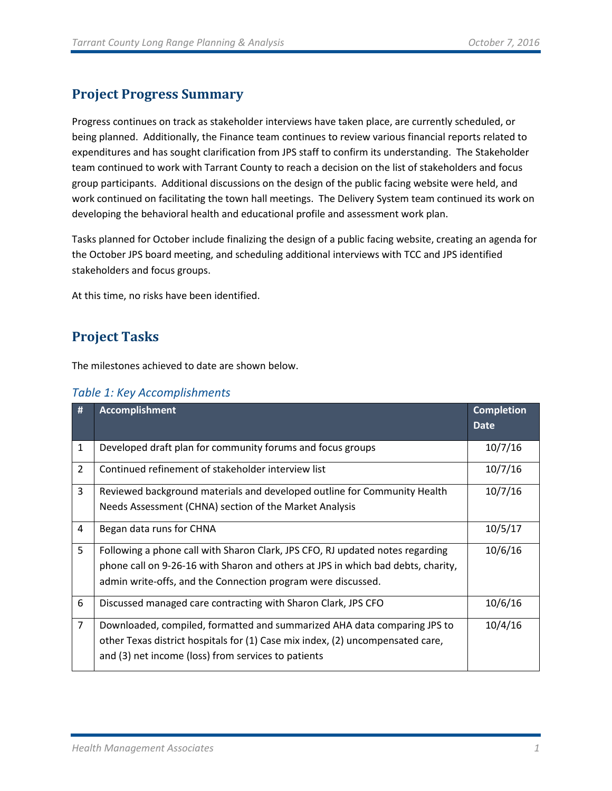# <span id="page-2-0"></span>**Project Progress Summary**

Progress continues on track as stakeholder interviews have taken place, are currently scheduled, or being planned. Additionally, the Finance team continues to review various financial reports related to expenditures and has sought clarification from JPS staff to confirm its understanding. The Stakeholder team continued to work with Tarrant County to reach a decision on the list of stakeholders and focus group participants. Additional discussions on the design of the public facing website were held, and work continued on facilitating the town hall meetings. The Delivery System team continued its work on developing the behavioral health and educational profile and assessment work plan.

Tasks planned for October include finalizing the design of a public facing website, creating an agenda for the October JPS board meeting, and scheduling additional interviews with TCC and JPS identified stakeholders and focus groups.

<span id="page-2-1"></span>At this time, no risks have been identified.

# **Project Tasks**

The milestones achieved to date are shown below.

<span id="page-2-2"></span>

|  | Table 1: Key Accomplishments |  |
|--|------------------------------|--|
|  |                              |  |

| #              | <b>Accomplishment</b>                                                            | <b>Completion</b> |
|----------------|----------------------------------------------------------------------------------|-------------------|
|                |                                                                                  | <b>Date</b>       |
| $\mathbf{1}$   | Developed draft plan for community forums and focus groups                       | 10/7/16           |
| 2              | Continued refinement of stakeholder interview list                               | 10/7/16           |
| 3              | Reviewed background materials and developed outline for Community Health         | 10/7/16           |
|                | Needs Assessment (CHNA) section of the Market Analysis                           |                   |
| 4              | Began data runs for CHNA                                                         | 10/5/17           |
| 5              | Following a phone call with Sharon Clark, JPS CFO, RJ updated notes regarding    | 10/6/16           |
|                | phone call on 9-26-16 with Sharon and others at JPS in which bad debts, charity, |                   |
|                | admin write-offs, and the Connection program were discussed.                     |                   |
| 6              | Discussed managed care contracting with Sharon Clark, JPS CFO                    | 10/6/16           |
| $\overline{7}$ | Downloaded, compiled, formatted and summarized AHA data comparing JPS to         | 10/4/16           |
|                | other Texas district hospitals for (1) Case mix index, (2) uncompensated care,   |                   |
|                | and (3) net income (loss) from services to patients                              |                   |
|                |                                                                                  |                   |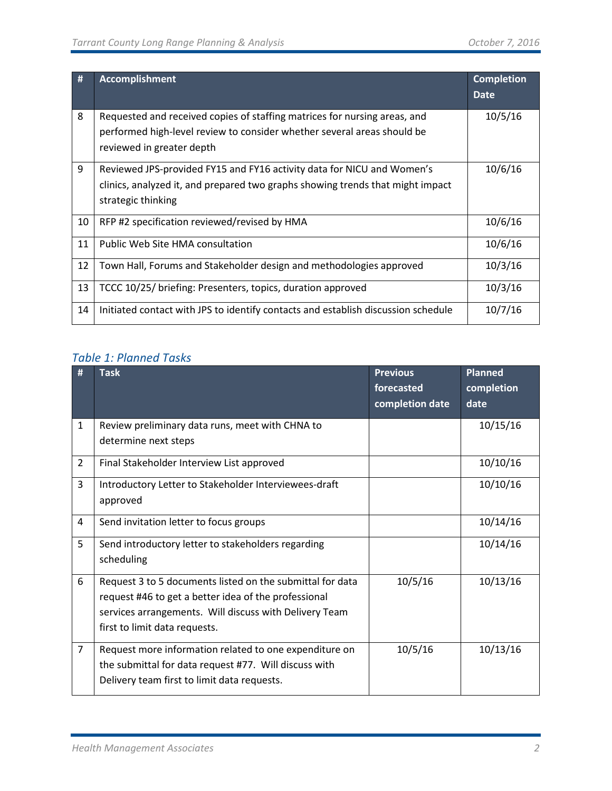| #  | <b>Accomplishment</b>                                                                                                                                                             | <b>Completion</b><br><b>Date</b> |
|----|-----------------------------------------------------------------------------------------------------------------------------------------------------------------------------------|----------------------------------|
| 8  | Requested and received copies of staffing matrices for nursing areas, and<br>performed high-level review to consider whether several areas should be<br>reviewed in greater depth | 10/5/16                          |
| 9  | Reviewed JPS-provided FY15 and FY16 activity data for NICU and Women's<br>clinics, analyzed it, and prepared two graphs showing trends that might impact<br>strategic thinking    | 10/6/16                          |
| 10 | RFP #2 specification reviewed/revised by HMA                                                                                                                                      | 10/6/16                          |
| 11 | Public Web Site HMA consultation                                                                                                                                                  | 10/6/16                          |
| 12 | Town Hall, Forums and Stakeholder design and methodologies approved                                                                                                               | 10/3/16                          |
| 13 | TCCC 10/25/ briefing: Presenters, topics, duration approved                                                                                                                       | 10/3/16                          |
| 14 | Initiated contact with JPS to identify contacts and establish discussion schedule                                                                                                 | 10/7/16                          |

## *Table 1: Planned Tasks*

| #              | <b>Task</b>                                               | <b>Previous</b> | <b>Planned</b> |
|----------------|-----------------------------------------------------------|-----------------|----------------|
|                |                                                           | forecasted      | completion     |
|                |                                                           | completion date | date           |
| $\mathbf{1}$   | Review preliminary data runs, meet with CHNA to           |                 | 10/15/16       |
|                | determine next steps                                      |                 |                |
| $\overline{2}$ | Final Stakeholder Interview List approved                 |                 | 10/10/16       |
| 3              | Introductory Letter to Stakeholder Interviewees-draft     |                 | 10/10/16       |
|                | approved                                                  |                 |                |
| 4              | Send invitation letter to focus groups                    |                 | 10/14/16       |
| 5              | Send introductory letter to stakeholders regarding        |                 | 10/14/16       |
|                | scheduling                                                |                 |                |
| 6              | Request 3 to 5 documents listed on the submittal for data | 10/5/16         | 10/13/16       |
|                | request #46 to get a better idea of the professional      |                 |                |
|                | services arrangements. Will discuss with Delivery Team    |                 |                |
|                | first to limit data requests.                             |                 |                |
| $\overline{7}$ | Request more information related to one expenditure on    | 10/5/16         | 10/13/16       |
|                | the submittal for data request #77. Will discuss with     |                 |                |
|                | Delivery team first to limit data requests.               |                 |                |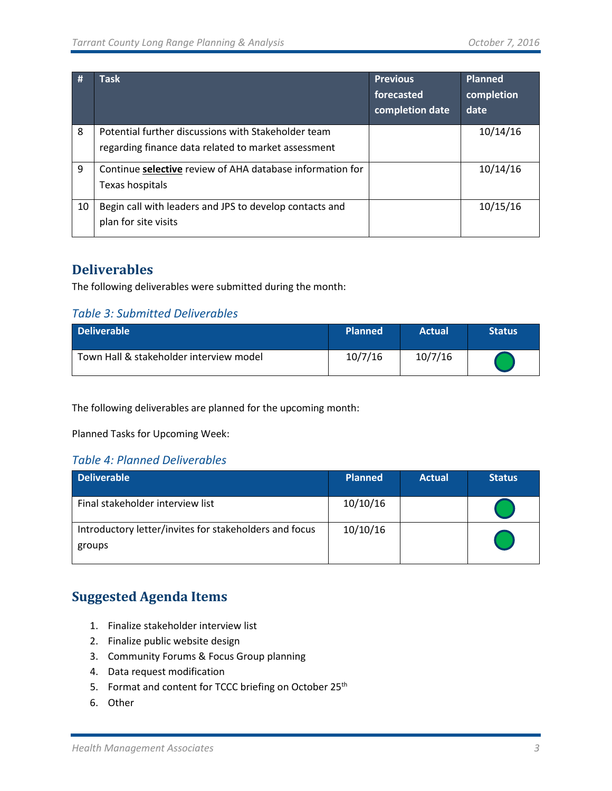| #  | <b>Task</b>                                                                                                | <b>Previous</b><br>forecasted<br>completion date | <b>Planned</b><br>completion<br>date |
|----|------------------------------------------------------------------------------------------------------------|--------------------------------------------------|--------------------------------------|
| 8  | Potential further discussions with Stakeholder team<br>regarding finance data related to market assessment |                                                  | 10/14/16                             |
| 9  | Continue selective review of AHA database information for<br>Texas hospitals                               |                                                  | 10/14/16                             |
| 10 | Begin call with leaders and JPS to develop contacts and<br>plan for site visits                            |                                                  | 10/15/16                             |

# <span id="page-4-0"></span>**Deliverables**

The following deliverables were submitted during the month:

### <span id="page-4-1"></span>*Table 3: Submitted Deliverables*

| <b>Deliverable</b>                      | <b>Planned</b> | <b>Actual</b> | <b>Status</b> |
|-----------------------------------------|----------------|---------------|---------------|
| Town Hall & stakeholder interview model | 10/7/16        | 10/7/16       |               |

The following deliverables are planned for the upcoming month:

Planned Tasks for Upcoming Week:

#### <span id="page-4-2"></span>*Table 4: Planned Deliverables*

| <b>Deliverable</b>                                               | <b>Planned</b> | <b>Actual</b> | <b>Status</b> |
|------------------------------------------------------------------|----------------|---------------|---------------|
| Final stakeholder interview list                                 | 10/10/16       |               |               |
| Introductory letter/invites for stakeholders and focus<br>groups | 10/10/16       |               |               |

# <span id="page-4-3"></span>**Suggested Agenda Items**

- 1. Finalize stakeholder interview list
- 2. Finalize public website design
- 3. Community Forums & Focus Group planning
- 4. Data request modification
- 5. Format and content for TCCC briefing on October 25<sup>th</sup>
- 6. Other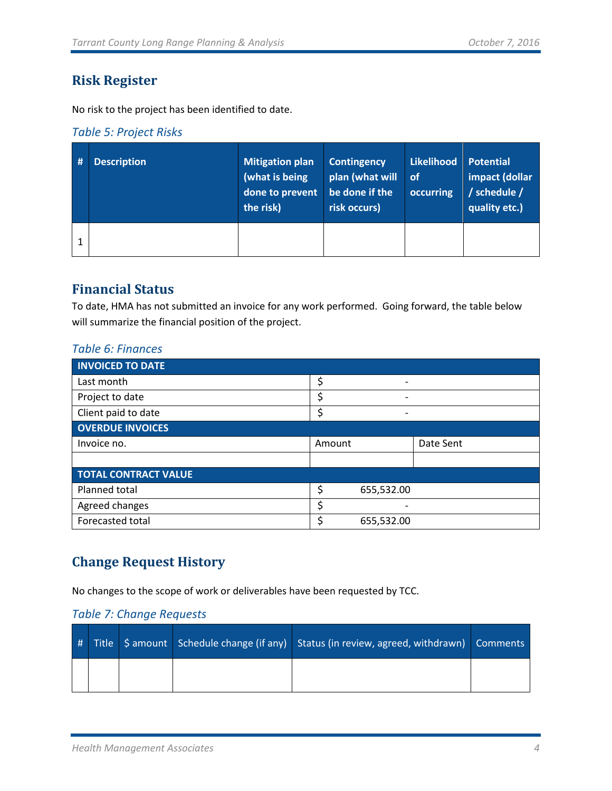# <span id="page-5-0"></span>**Risk Register**

No risk to the project has been identified to date.

#### <span id="page-5-1"></span>*Table 5: Project Risks*

| # | <b>Description</b> | <b>Mitigation plan</b><br>(what is being $\overline{ }$<br>done to prevent<br>the risk) | <b>Contingency</b><br>plan (what will<br>be done if the<br>risk occurs) | <b>Likelihood</b><br>of<br>occurring | <b>Potential</b><br>impact (dollar<br>/ schedule /<br>quality etc.) |
|---|--------------------|-----------------------------------------------------------------------------------------|-------------------------------------------------------------------------|--------------------------------------|---------------------------------------------------------------------|
|   |                    |                                                                                         |                                                                         |                                      |                                                                     |

# <span id="page-5-2"></span>**Financial Status**

To date, HMA has not submitted an invoice for any work performed. Going forward, the table below will summarize the financial position of the project.

#### <span id="page-5-3"></span>*Table 6: Finances*

| <b>INVOICED TO DATE</b>     |        |                 |           |
|-----------------------------|--------|-----------------|-----------|
| Last month                  | \$     |                 |           |
| Project to date             |        | $\qquad \qquad$ |           |
| Client paid to date         | Ś      | ٠               |           |
| <b>OVERDUE INVOICES</b>     |        |                 |           |
| Invoice no.                 | Amount |                 | Date Sent |
|                             |        |                 |           |
| <b>TOTAL CONTRACT VALUE</b> |        |                 |           |
| Planned total               | \$     | 655,532.00      |           |
| Agreed changes              | \$     |                 |           |
| Forecasted total            | Ś      | 655,532.00      |           |

# <span id="page-5-4"></span>**Change Request History**

No changes to the scope of work or deliverables have been requested by TCC.

### <span id="page-5-5"></span>*Table 7: Change Requests*

|  |  | # Title S amount Schedule change (if any) Status (in review, agreed, withdrawn) Comments |  |
|--|--|------------------------------------------------------------------------------------------|--|
|  |  |                                                                                          |  |